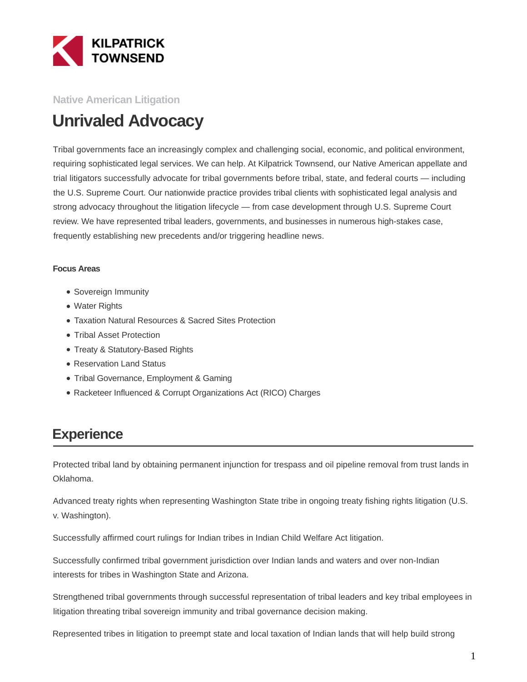

#### **Native American Litigation**

# **Unrivaled Advocacy**

Tribal governments face an increasingly complex and challenging social, economic, and political environment, requiring sophisticated legal services. We can help. At Kilpatrick Townsend, our Native American appellate and trial litigators successfully advocate for tribal governments before tribal, state, and federal courts — including the U.S. Supreme Court. Our nationwide practice provides tribal clients with sophisticated legal analysis and strong advocacy throughout the litigation lifecycle — from case development through U.S. Supreme Court review. We have represented tribal leaders, governments, and businesses in numerous high-stakes case, frequently establishing new precedents and/or triggering headline news.

#### **Focus Areas**

- Sovereign Immunity
- Water Rights
- Taxation Natural Resources & Sacred Sites Protection
- Tribal Asset Protection
- Treaty & Statutory-Based Rights
- Reservation Land Status
- Tribal Governance, Employment & Gaming
- Racketeer Influenced & Corrupt Organizations Act (RICO) Charges

## **Experience**

Protected tribal land by obtaining permanent injunction for trespass and oil pipeline removal from trust lands in Oklahoma.

Advanced treaty rights when representing Washington State tribe in ongoing treaty fishing rights litigation (U.S. v. Washington).

Successfully affirmed court rulings for Indian tribes in Indian Child Welfare Act litigation.

Successfully confirmed tribal government jurisdiction over Indian lands and waters and over non-Indian interests for tribes in Washington State and Arizona.

Strengthened tribal governments through successful representation of tribal leaders and key tribal employees in litigation threating tribal sovereign immunity and tribal governance decision making.

Represented tribes in litigation to preempt state and local taxation of Indian lands that will help build strong